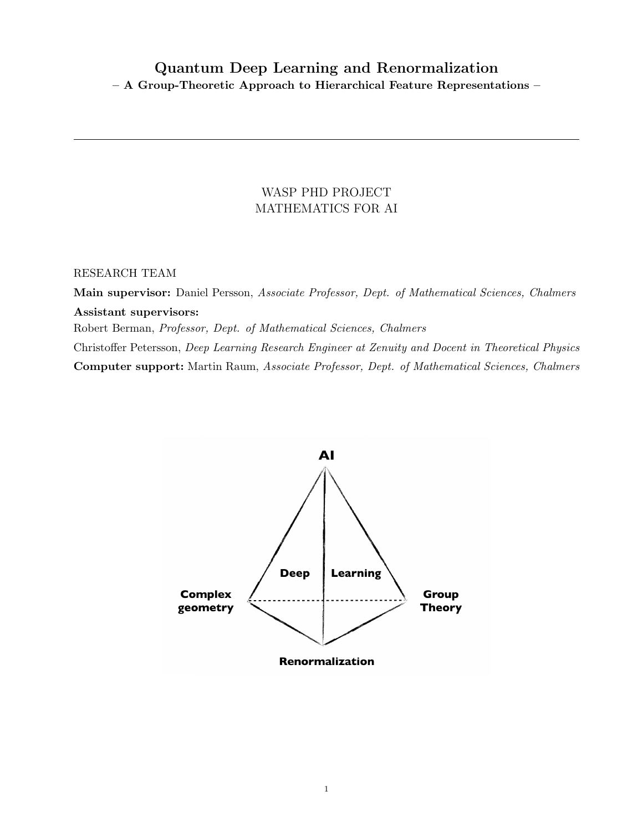# Quantum Deep Learning and Renormalization – A Group-Theoretic Approach to Hierarchical Feature Representations –

## WASP PHD PROJECT MATHEMATICS FOR AI

## RESEARCH TEAM

Main supervisor: Daniel Persson, Associate Professor, Dept. of Mathematical Sciences, Chalmers Assistant supervisors: Robert Berman, Professor, Dept. of Mathematical Sciences, Chalmers Christoffer Petersson, Deep Learning Research Engineer at Zenuity and Docent in Theoretical Physics Computer support: Martin Raum, Associate Professor, Dept. of Mathematical Sciences, Chalmers

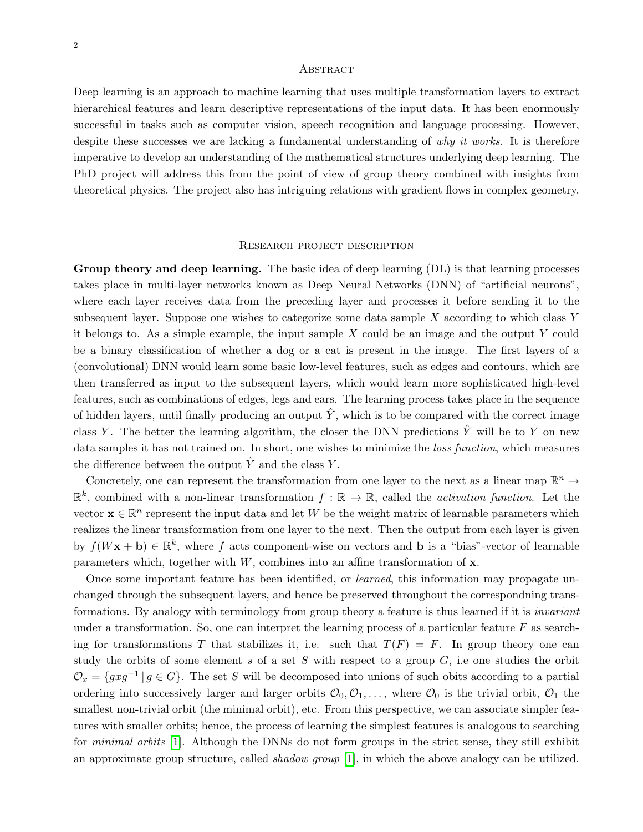#### **ABSTRACT**

Deep learning is an approach to machine learning that uses multiple transformation layers to extract hierarchical features and learn descriptive representations of the input data. It has been enormously successful in tasks such as computer vision, speech recognition and language processing. However, despite these successes we are lacking a fundamental understanding of why it works. It is therefore imperative to develop an understanding of the mathematical structures underlying deep learning. The PhD project will address this from the point of view of group theory combined with insights from theoretical physics. The project also has intriguing relations with gradient flows in complex geometry.

#### Research project description

Group theory and deep learning. The basic idea of deep learning (DL) is that learning processes takes place in multi-layer networks known as Deep Neural Networks (DNN) of "artificial neurons", where each layer receives data from the preceding layer and processes it before sending it to the subsequent layer. Suppose one wishes to categorize some data sample  $X$  according to which class  $Y$ it belongs to. As a simple example, the input sample  $X$  could be an image and the output  $Y$  could be a binary classification of whether a dog or a cat is present in the image. The first layers of a (convolutional) DNN would learn some basic low-level features, such as edges and contours, which are then transferred as input to the subsequent layers, which would learn more sophisticated high-level features, such as combinations of edges, legs and ears. The learning process takes place in the sequence of hidden layers, until finally producing an output  $\hat{Y}$ , which is to be compared with the correct image class Y. The better the learning algorithm, the closer the DNN predictions  $\hat{Y}$  will be to Y on new data samples it has not trained on. In short, one wishes to minimize the *loss function*, which measures the difference between the output  $\hat{Y}$  and the class Y.

Concretely, one can represent the transformation from one layer to the next as a linear map  $\mathbb{R}^n \to$  $\mathbb{R}^k$ , combined with a non-linear transformation  $f : \mathbb{R} \to \mathbb{R}$ , called the *activation function*. Let the vector  $\mathbf{x} \in \mathbb{R}^n$  represent the input data and let W be the weight matrix of learnable parameters which realizes the linear transformation from one layer to the next. Then the output from each layer is given by  $f(Wx + b) \in \mathbb{R}^k$ , where f acts component-wise on vectors and b is a "bias"-vector of learnable parameters which, together with  $W$ , combines into an affine transformation of  $x$ .

Once some important feature has been identified, or learned, this information may propagate unchanged through the subsequent layers, and hence be preserved throughout the correspondning transformations. By analogy with terminology from group theory a feature is thus learned if it is invariant under a transformation. So, one can interpret the learning process of a particular feature  $F$  as searching for transformations T that stabilizes it, i.e. such that  $T(F) = F$ . In group theory one can study the orbits of some element  $s$  of a set  $S$  with respect to a group  $G$ , i.e one studies the orbit  $\mathcal{O}_x = \{gxg^{-1} | g \in G\}$ . The set S will be decomposed into unions of such obits according to a partial ordering into successively larger and larger orbits  $\mathcal{O}_0, \mathcal{O}_1, \ldots$ , where  $\mathcal{O}_0$  is the trivial orbit,  $\mathcal{O}_1$  the smallest non-trivial orbit (the minimal orbit), etc. From this perspective, we can associate simpler features with smaller orbits; hence, the process of learning the simplest features is analogous to searching for minimal orbits [\[1\]](#page-3-0). Although the DNNs do not form groups in the strict sense, they still exhibit an approximate group structure, called shadow group [\[1\]](#page-3-0), in which the above analogy can be utilized.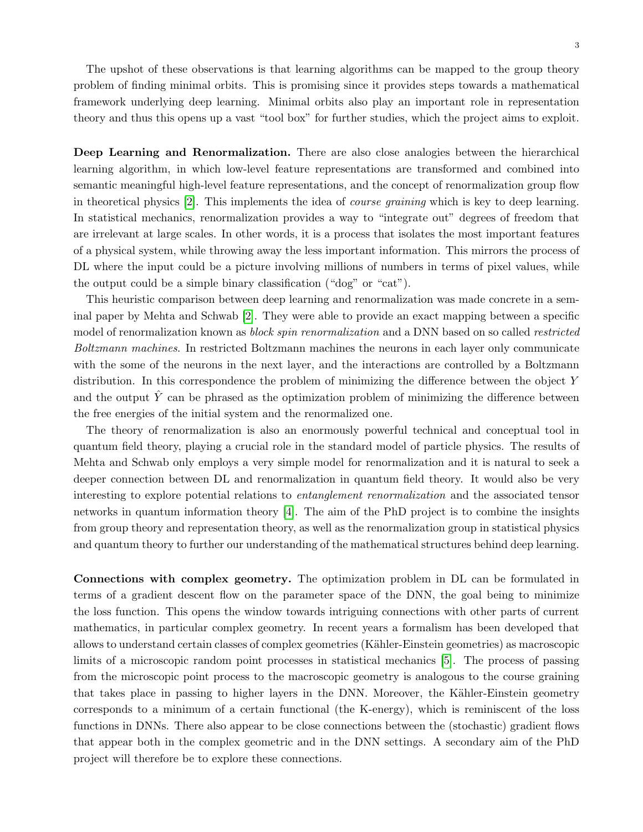The upshot of these observations is that learning algorithms can be mapped to the group theory problem of finding minimal orbits. This is promising since it provides steps towards a mathematical framework underlying deep learning. Minimal orbits also play an important role in representation theory and thus this opens up a vast "tool box" for further studies, which the project aims to exploit.

Deep Learning and Renormalization. There are also close analogies between the hierarchical learning algorithm, in which low-level feature representations are transformed and combined into semantic meaningful high-level feature representations, and the concept of renormalization group flow in theoretical physics [\[2\]](#page-3-1). This implements the idea of course graining which is key to deep learning. In statistical mechanics, renormalization provides a way to "integrate out" degrees of freedom that are irrelevant at large scales. In other words, it is a process that isolates the most important features of a physical system, while throwing away the less important information. This mirrors the process of DL where the input could be a picture involving millions of numbers in terms of pixel values, while the output could be a simple binary classification ("dog" or "cat").

This heuristic comparison between deep learning and renormalization was made concrete in a seminal paper by Mehta and Schwab [\[2\]](#page-3-1). They were able to provide an exact mapping between a specific model of renormalization known as *block spin renormalization* and a DNN based on so called *restricted* Boltzmann machines. In restricted Boltzmann machines the neurons in each layer only communicate with the some of the neurons in the next layer, and the interactions are controlled by a Boltzmann distribution. In this correspondence the problem of minimizing the difference between the object Y and the output  $\hat{Y}$  can be phrased as the optimization problem of minimizing the difference between the free energies of the initial system and the renormalized one.

The theory of renormalization is also an enormously powerful technical and conceptual tool in quantum field theory, playing a crucial role in the standard model of particle physics. The results of Mehta and Schwab only employs a very simple model for renormalization and it is natural to seek a deeper connection between DL and renormalization in quantum field theory. It would also be very interesting to explore potential relations to entanglement renormalization and the associated tensor networks in quantum information theory  $|4|$ . The aim of the PhD project is to combine the insights from group theory and representation theory, as well as the renormalization group in statistical physics and quantum theory to further our understanding of the mathematical structures behind deep learning.

Connections with complex geometry. The optimization problem in DL can be formulated in terms of a gradient descent flow on the parameter space of the DNN, the goal being to minimize the loss function. This opens the window towards intriguing connections with other parts of current mathematics, in particular complex geometry. In recent years a formalism has been developed that allows to understand certain classes of complex geometries (K¨ahler-Einstein geometries) as macroscopic limits of a microscopic random point processes in statistical mechanics [\[5\]](#page-3-3). The process of passing from the microscopic point process to the macroscopic geometry is analogous to the course graining that takes place in passing to higher layers in the DNN. Moreover, the Kähler-Einstein geometry corresponds to a minimum of a certain functional (the K-energy), which is reminiscent of the loss functions in DNNs. There also appear to be close connections between the (stochastic) gradient flows that appear both in the complex geometric and in the DNN settings. A secondary aim of the PhD project will therefore be to explore these connections.